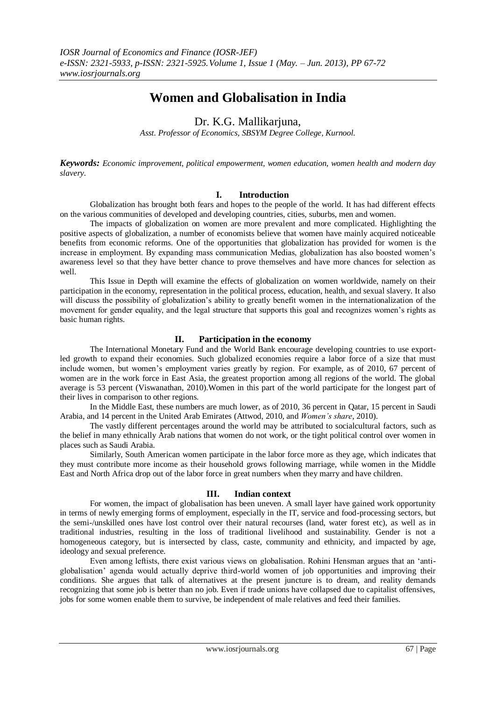# **Women and Globalisation in India**

Dr. K.G. Mallikarjuna,

*Asst. Professor of Economics, SBSYM Degree College, Kurnool.*

*Keywords: Economic improvement, political empowerment, women education, women health and modern day slavery.*

# **I. Introduction**

Globalization has brought both fears and hopes to the people of the world. It has had different effects on the various communities of developed and developing countries, cities, suburbs, men and women.

The impacts of globalization on women are more prevalent and more complicated. Highlighting the positive aspects of globalization, a number of economists believe that women have mainly acquired noticeable benefits from economic reforms. One of the opportunities that globalization has provided for women is the increase in employment. By expanding mass communication Medias, globalization has also boosted women's awareness level so that they have better chance to prove themselves and have more chances for selection as well.

This Issue in Depth will examine the effects of globalization on women worldwide, namely on their participation in the economy, representation in the political process, education, health, and sexual slavery. It also will discuss the possibility of globalization's ability to greatly benefit women in the internationalization of the movement for gender equality, and the legal structure that supports this goal and recognizes women's rights as basic human rights.

# **II. Participation in the economy**

The International Monetary Fund and the World Bank encourage developing countries to use exportled growth to expand their economies. Such globalized economies require a labor force of a size that must include women, but women's employment varies greatly by region. For example, as of 2010, 67 percent of women are in the work force in East Asia, the greatest proportion among all regions of the world. The global average is 53 percent (Viswanathan, 2010).Women in this part of the world participate for the longest part of their lives in comparison to other regions.

In the Middle East, these numbers are much lower, as of 2010, 36 percent in Qatar, 15 percent in Saudi Arabia, and 14 percent in the United Arab Emirates (Attwod, 2010, and *Women's share*, 2010).

The vastly different percentages around the world may be attributed to socialcultural factors, such as the belief in many ethnically Arab nations that women do not work, or the tight political control over women in places such as Saudi Arabia.

Similarly, South American women participate in the labor force more as they age, which indicates that they must contribute more income as their household grows following marriage, while women in the Middle East and North Africa drop out of the labor force in great numbers when they marry and have children.

# **III. Indian context**

For women, the impact of globalisation has been uneven. A small layer have gained work opportunity in terms of newly emerging forms of employment, especially in the IT, service and food-processing sectors, but the semi-/unskilled ones have lost control over their natural recourses (land, water forest etc), as well as in traditional industries, resulting in the loss of traditional livelihood and sustainability. Gender is not a homogeneous category, but is intersected by class, caste, community and ethnicity, and impacted by age, ideology and sexual preference.

Even among leftists, there exist various views on globalisation. Rohini Hensman argues that an 'antiglobalisation' agenda would actually deprive third-world women of job opportunities and improving their conditions. She argues that talk of alternatives at the present juncture is to dream, and reality demands recognizing that some job is better than no job. Even if trade unions have collapsed due to capitalist offensives, jobs for some women enable them to survive, be independent of male relatives and feed their families.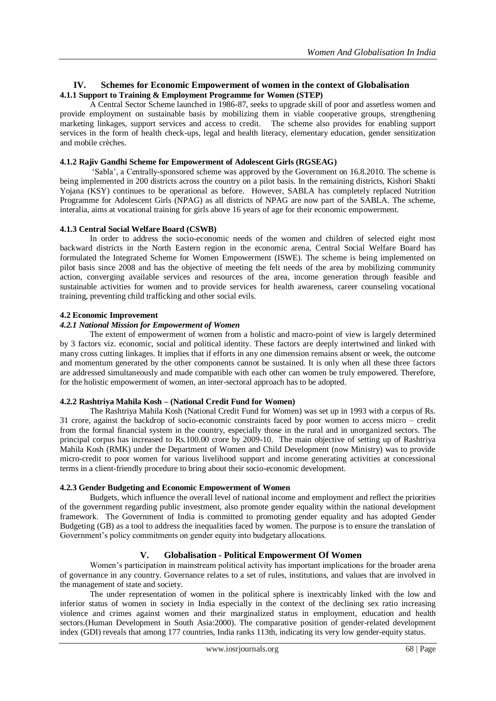# **IV. Schemes for Economic Empowerment of women in the context of Globalisation 4.1.1 Support to Training & Employment Programme for Women (STEP)**

A Central Sector Scheme launched in 1986-87, seeks to upgrade skill of poor and assetless women and provide employment on sustainable basis by mobilizing them in viable cooperative groups, strengthening marketing linkages, support services and access to credit. The scheme also provides for enabling support services in the form of health check-ups, legal and health literacy, elementary education, gender sensitization and mobile crèches.

#### **4.1.2 Rajiv Gandhi Scheme for Empowerment of Adolescent Girls (RGSEAG)**

'Sabla', a Centrally-sponsored scheme was approved by the Government on 16.8.2010. The scheme is being implemented in 200 districts across the country on a pilot basis. In the remaining districts, Kishori Shakti Yojana (KSY) continues to be operational as before. However, SABLA has completely replaced Nutrition Programme for Adolescent Girls (NPAG) as all districts of NPAG are now part of the SABLA. The scheme, interalia, aims at vocational training for girls above 16 years of age for their economic empowerment.

#### **4.1.3 Central Social Welfare Board (CSWB)**

In order to address the socio-economic needs of the women and children of selected eight most backward districts in the North Eastern region in the economic arena, Central Social Welfare Board has formulated the Integrated Scheme for Women Empowerment (ISWE). The scheme is being implemented on pilot basis since 2008 and has the objective of meeting the felt needs of the area by mobilizing community action, converging available services and resources of the area, income generation through feasible and sustainable activities for women and to provide services for health awareness, career counseling vocational training, preventing child trafficking and other social evils.

## **4.2 Economic Improvement**

#### *4.2.1 National Mission for Empowerment of Women*

The extent of empowerment of women from a holistic and macro-point of view is largely determined by 3 factors viz. economic, social and political identity. These factors are deeply intertwined and linked with many cross cutting linkages. It implies that if efforts in any one dimension remains absent or week, the outcome and momentum generated by the other components cannot be sustained. It is only when all these three factors are addressed simultaneously and made compatible with each other can women be truly empowered. Therefore, for the holistic empowerment of women, an inter-sectoral approach has to be adopted.

#### **4.2.2 Rashtriya Mahila Kosh – (National Credit Fund for Women)**

The Rashtriya Mahila Kosh (National Credit Fund for Women) was set up in 1993 with a corpus of Rs. 31 crore, against the backdrop of socio-economic constraints faced by poor women to access micro – credit from the formal financial system in the country, especially those in the rural and in unorganized sectors. The principal corpus has increased to Rs.100.00 crore by 2009-10. The main objective of setting up of Rashtriya Mahila Kosh (RMK) under the Department of Women and Child Development (now Ministry) was to provide micro-credit to poor women for various livelihood support and income generating activities at concessional terms in a client-friendly procedure to bring about their socio-economic development.

# **4.2.3 Gender Budgeting and Economic Empowerment of Women**

Budgets, which influence the overall level of national income and employment and reflect the priorities of the government regarding public investment, also promote gender equality within the national development framework. The Government of India is committed to promoting gender equality and has adopted Gender Budgeting (GB) as a tool to address the inequalities faced by women. The purpose is to ensure the translation of Government's policy commitments on gender equity into budgetary allocations.

# **V. Globalisation - Political Empowerment Of Women**

Women's participation in mainstream political activity has important implications for the broader arena of governance in any country. Governance relates to a set of rules, institutions, and values that are involved in the management of state and society.

The under representation of women in the political sphere is inextricably linked with the low and inferior status of women in society in India especially in the context of the declining sex ratio increasing violence and crimes against women and their marginalized status in employment, education and health sectors.(Human Development in South Asia:2000). The comparative position of gender-related development index (GDI) reveals that among 177 countries, India ranks 113th, indicating its very low gender-equity status.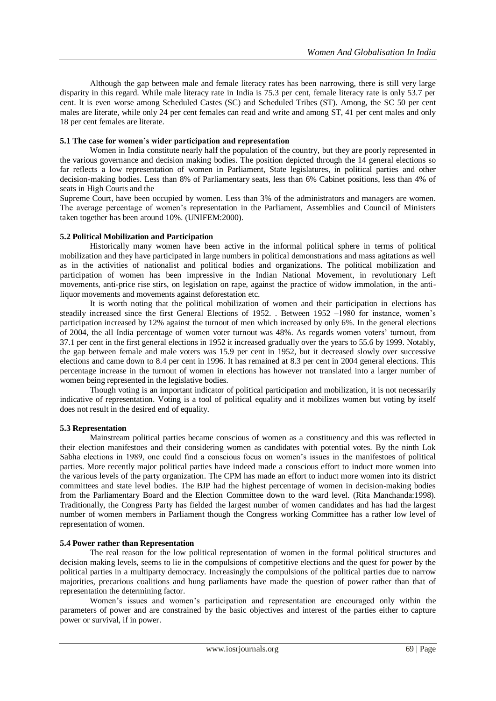Although the gap between male and female literacy rates has been narrowing, there is still very large disparity in this regard. While male literacy rate in India is 75.3 per cent, female literacy rate is only 53.7 per cent. It is even worse among Scheduled Castes (SC) and Scheduled Tribes (ST). Among, the SC 50 per cent males are literate, while only 24 per cent females can read and write and among ST, 41 per cent males and only 18 per cent females are literate.

## **5.1 The case for women's wider participation and representation**

Women in India constitute nearly half the population of the country, but they are poorly represented in the various governance and decision making bodies. The position depicted through the 14 general elections so far reflects a low representation of women in Parliament, State legislatures, in political parties and other decision-making bodies. Less than 8% of Parliamentary seats, less than 6% Cabinet positions, less than 4% of seats in High Courts and the

Supreme Court, have been occupied by women. Less than 3% of the administrators and managers are women. The average percentage of women's representation in the Parliament, Assemblies and Council of Ministers taken together has been around 10%. (UNIFEM:2000).

## **5.2 Political Mobilization and Participation**

Historically many women have been active in the informal political sphere in terms of political mobilization and they have participated in large numbers in political demonstrations and mass agitations as well as in the activities of nationalist and political bodies and organizations. The political mobilization and participation of women has been impressive in the Indian National Movement, in revolutionary Left movements, anti-price rise stirs, on legislation on rape, against the practice of widow immolation, in the antiliquor movements and movements against deforestation etc.

It is worth noting that the political mobilization of women and their participation in elections has steadily increased since the first General Elections of 1952. . Between 1952 –1980 for instance, women's participation increased by 12% against the turnout of men which increased by only 6%. In the general elections of 2004, the all India percentage of women voter turnout was 48%. As regards women voters' turnout, from 37.1 per cent in the first general elections in 1952 it increased gradually over the years to 55.6 by 1999. Notably, the gap between female and male voters was 15.9 per cent in 1952, but it decreased slowly over successive elections and came down to 8.4 per cent in 1996. It has remained at 8.3 per cent in 2004 general elections. This percentage increase in the turnout of women in elections has however not translated into a larger number of women being represented in the legislative bodies.

Though voting is an important indicator of political participation and mobilization, it is not necessarily indicative of representation. Voting is a tool of political equality and it mobilizes women but voting by itself does not result in the desired end of equality.

# **5.3 Representation**

Mainstream political parties became conscious of women as a constituency and this was reflected in their election manifestoes and their considering women as candidates with potential votes. By the ninth Lok Sabha elections in 1989, one could find a conscious focus on women's issues in the manifestoes of political parties. More recently major political parties have indeed made a conscious effort to induct more women into the various levels of the party organization. The CPM has made an effort to induct more women into its district committees and state level bodies. The BJP had the highest percentage of women in decision-making bodies from the Parliamentary Board and the Election Committee down to the ward level. (Rita Manchanda:1998). Traditionally, the Congress Party has fielded the largest number of women candidates and has had the largest number of women members in Parliament though the Congress working Committee has a rather low level of representation of women.

#### **5.4 Power rather than Representation**

The real reason for the low political representation of women in the formal political structures and decision making levels, seems to lie in the compulsions of competitive elections and the quest for power by the political parties in a multiparty democracy. Increasingly the compulsions of the political parties due to narrow majorities, precarious coalitions and hung parliaments have made the question of power rather than that of representation the determining factor.

Women's issues and women's participation and representation are encouraged only within the parameters of power and are constrained by the basic objectives and interest of the parties either to capture power or survival, if in power.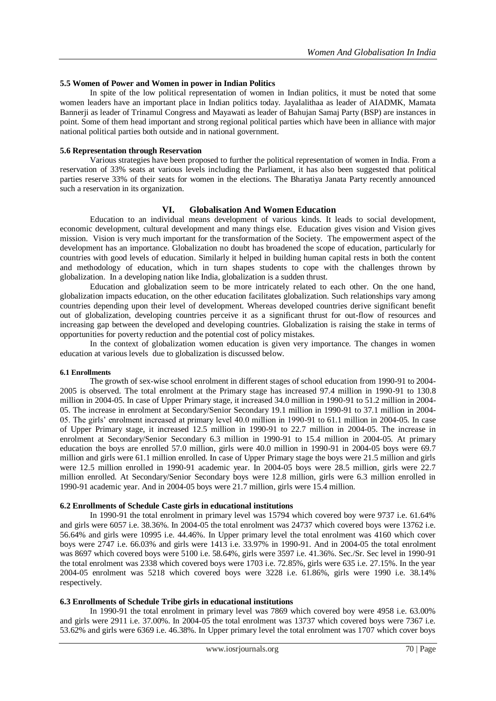#### **5.5 Women of Power and Women in power in Indian Politics**

In spite of the low political representation of women in Indian politics, it must be noted that some women leaders have an important place in Indian politics today. Jayalalithaa as leader of AIADMK, Mamata Bannerji as leader of Trinamul Congress and Mayawati as leader of Bahujan Samaj Party (BSP) are instances in point. Some of them head important and strong regional political parties which have been in alliance with major national political parties both outside and in national government.

#### **5.6 Representation through Reservation**

Various strategies have been proposed to further the political representation of women in India. From a reservation of 33% seats at various levels including the Parliament, it has also been suggested that political parties reserve 33% of their seats for women in the elections. The Bharatiya Janata Party recently announced such a reservation in its organization.

#### **VI. Globalisation And Women Education**

Education to an individual means development of various kinds. It leads to social development, economic development, cultural development and many things else. Education gives vision and Vision gives mission. Vision is very much important for the transformation of the Society. The empowerment aspect of the development has an importance. Globalization no doubt has broadened the scope of education, particularly for countries with good levels of education. Similarly it helped in building human capital rests in both the content and methodology of education, which in turn shapes students to cope with the challenges thrown by globalization. In a developing nation like India, globalization is a sudden thrust.

Education and globalization seem to be more intricately related to each other. On the one hand, globalization impacts education, on the other education facilitates globalization. Such relationships vary among countries depending upon their level of development. Whereas developed countries derive significant benefit out of globalization, developing countries perceive it as a significant thrust for out-flow of resources and increasing gap between the developed and developing countries. Globalization is raising the stake in terms of opportunities for poverty reduction and the potential cost of policy mistakes.

In the context of globalization women education is given very importance. The changes in women education at various levels due to globalization is discussed below.

#### **6.1 Enrollments**

The growth of sex-wise school enrolment in different stages of school education from 1990-91 to 2004- 2005 is observed. The total enrolment at the Primary stage has increased 97.4 million in 1990-91 to 130.8 million in 2004-05. In case of Upper Primary stage, it increased 34.0 million in 1990-91 to 51.2 million in 2004- 05. The increase in enrolment at Secondary/Senior Secondary 19.1 million in 1990-91 to 37.1 million in 2004- 05. The girls' enrolment increased at primary level 40.0 million in 1990-91 to 61.1 million in 2004-05. In case of Upper Primary stage, it increased 12.5 million in 1990-91 to 22.7 million in 2004-05. The increase in enrolment at Secondary/Senior Secondary 6.3 million in 1990-91 to 15.4 million in 2004-05. At primary education the boys are enrolled 57.0 million, girls were 40.0 million in 1990-91 in 2004-05 boys were 69.7 million and girls were 61.1 million enrolled. In case of Upper Primary stage the boys were 21.5 million and girls were 12.5 million enrolled in 1990-91 academic year. In 2004-05 boys were 28.5 million, girls were 22.7 million enrolled. At Secondary/Senior Secondary boys were 12.8 million, girls were 6.3 million enrolled in 1990-91 academic year. And in 2004-05 boys were 21.7 million, girls were 15.4 million.

#### **6.2 Enrollments of Schedule Caste girls in educational institutions**

In 1990-91 the total enrolment in primary level was 15794 which covered boy were 9737 i.e. 61.64% and girls were 6057 i.e. 38.36%. In 2004-05 the total enrolment was 24737 which covered boys were 13762 i.e. 56.64% and girls were 10995 i.e. 44.46%. In Upper primary level the total enrolment was 4160 which cover boys were 2747 i.e. 66.03% and girls were 1413 i.e. 33.97% in 1990-91. And in 2004-05 the total enrolment was 8697 which covered boys were 5100 i.e. 58.64%, girls were 3597 i.e. 41.36%. Sec./Sr. Sec level in 1990-91 the total enrolment was 2338 which covered boys were 1703 i.e. 72.85%, girls were 635 i.e. 27.15%. In the year 2004-05 enrolment was 5218 which covered boys were 3228 i.e. 61.86%, girls were 1990 i.e. 38.14% respectively.

#### **6.3 Enrollments of Schedule Tribe girls in educational institutions**

In 1990-91 the total enrolment in primary level was 7869 which covered boy were 4958 i.e. 63.00% and girls were 2911 i.e. 37.00%. In 2004-05 the total enrolment was 13737 which covered boys were 7367 i.e. 53.62% and girls were 6369 i.e. 46.38%. In Upper primary level the total enrolment was 1707 which cover boys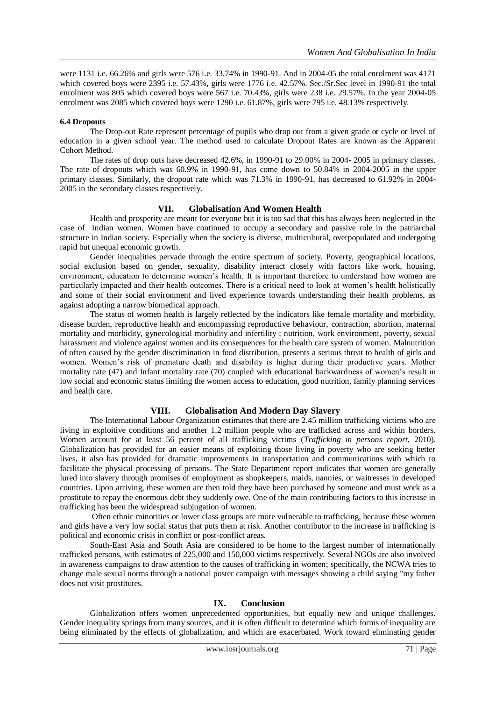were 1131 i.e. 66.26% and girls were 576 i.e. 33.74% in 1990-91. And in 2004-05 the total enrolment was 4171 which covered boys were 2395 i.e. 57.43%, girls were 1776 i.e. 42.57%. Sec./Sr.Sec level in 1990-91 the total enrolment was 805 which covered boys were 567 i.e. 70.43%, girls were 238 i.e. 29.57%. In the year 2004-05 enrolment was 2085 which covered boys were 1290 i.e. 61.87%, girls were 795 i.e. 48.13% respectively.

## **6.4 Dropouts**

The Drop-out Rate represent percentage of pupils who drop out from a given grade or cycle or level of education in a given school year. The method used to calculate Dropout Rates are known as the Apparent Cohort Method.

The rates of drop outs have decreased 42.6%, in 1990-91 to 29.00% in 2004- 2005 in primary classes. The rate of dropouts which was 60.9% in 1990-91, has come down to 50.84% in 2004-2005 in the upper primary classes. Similarly, the dropout rate which was 71.3% in 1990-91, has decreased to 61.92% in 2004- 2005 in the secondary classes respectively.

## **VII. Globalisation And Women Health**

Health and prosperity are meant for everyone but it is too sad that this has always been neglected in the case of Indian women. Women have continued to occupy a secondary and passive role in the patriarchal structure in Indian society. Especially when the society is diverse, multicultural, overpopulated and undergoing rapid but unequal economic growth.

 Gender inequalities pervade through the entire spectrum of society. Poverty, geographical locations, social exclusion based on gender, sexuality, disability interact closely with factors like work, housing, environment, education to determine women's health. It is important therefore to understand how women are particularly impacted and their health outcomes. There is a critical need to look at women's health holistically and some of their social environment and lived experience towards understanding their health problems, as against adopting a narrow biomedical approach.

 The status of women health is largely reflected by the indicators like female mortality and morbidity, disease burden, reproductive health and encompassing reproductive behaviour, contraction, abortion, maternal mortality and morbidity, gynecological morbidity and infertility ; nutrition, work environment, poverty, sexual harassment and violence against women and its consequences for the health care system of women. Malnutrition of often caused by the gender discrimination in food distribution, presents a serious threat to health of girls and women. Women's risk of premature death and disability is higher during their productive years. Mother mortality rate (47) and Infant mortality rate (70) coupled with educational backwardness of women's result in low social and economic status limiting the women access to education, good nutrition, family planning services and health care.

# **VIII. Globalisation And Modern Day Slavery**

The International Labour Organization estimates that there are 2.45 million trafficking victims who are living in exploitive conditions and another 1.2 million people who are trafficked across and within borders. Women account for at least 56 percent of all trafficking victims (*Trafficking in persons report*, 2010). Globalization has provided for an easier means of exploiting those living in poverty who are seeking better lives, it also has provided for dramatic improvements in transportation and communications with which to facilitate the physical processing of persons. The State Department report indicates that women are generally lured into slavery through promises of employment as shopkeepers, maids, nannies, or waitresses in developed countries. Upon arriving, these women are then told they have been purchased by someone and must work as a prostitute to repay the enormous debt they suddenly owe. One of the main contributing factors to this increase in trafficking has been the widespread subjugation of women.

Often ethnic minorities or lower class groups are more vulnerable to trafficking, because these women and girls have a very low social status that puts them at risk. Another contributor to the increase in trafficking is political and economic crisis in conflict or post-conflict areas.

South-East Asia and South Asia are considered to be home to the largest number of internationally trafficked persons, with estimates of 225,000 and 150,000 victims respectively. Several NGOs are also involved in awareness campaigns to draw attention to the causes of trafficking in women; specifically, the NCWA tries to change male sexual norms through a national poster campaign with messages showing a child saying "my father does not visit prostitutes.

#### **IX. Conclusion**

Globalization offers women unprecedented opportunities, but equally new and unique challenges. Gender inequality springs from many sources, and it is often difficult to determine which forms of inequality are being eliminated by the effects of globalization, and which are exacerbated. Work toward eliminating gender